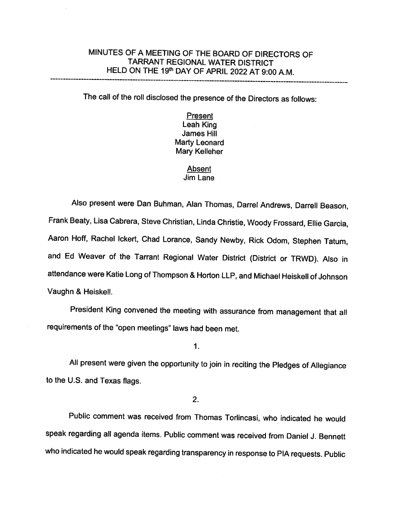# MINUTES OF <sup>A</sup> MEETING OF THE BOARD OF DIRECTORS OF TARRANT REGIONAL WATER DISTRICT HELD ON THE 19th DAY OF APRIL 2022 AT 9:00 A.M.

The call of the roll disclosed the presence of the Directors as follows:

**Present** Leah King James Hill Marty Leonard Mary Kelleher

# Absent Jim Lane

Also present were Dan Buhman, Alan Thomas, Darrel Andrews, Darrell Beason, Frank Beaty, Lisa Cabrera, Steve Christian, Linda Christie, Woody Frossard, Ellie Garcia, Aaron Hoff, Rachel Ickert, Chad Lorance, Sandy Newby, Rick Odom, Stephen Tatum, and Ed Weaver of the Tarrant Regional Water District (District or TRWD). Also in attendance were Katie Long of Thompson & Horton LLP, and Michael Heiskell of Johnson Vaughn & Heiskell.

President King convened the meeting with assurance from management that all requirements of the "open meetings" laws had been met.

1.

All present were <sup>g</sup>iven the opportunity to join in reciting the Pledges of Allegiance to the U.S. and Texas flags.

2.

Public comment was received from Thomas Torlincasi, who indicated he would speak regarding all agenda items. Public comment was received from Daniel J. Bennett who indicated he would speak regarding transparency in response to PIA requests. Public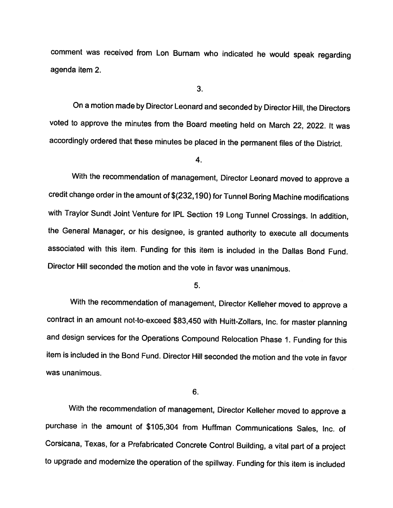comment was received from Lon Burnam who indicated he would speak regarding agenda item 2.

3.

On <sup>a</sup> motion made by Director Leonard and seconded by Director Hill, the Directors voted to approve the minutes from the Board meeting held on March 22, 2022. It was accordingly ordered that these minutes be <sup>p</sup>laced in the permanent files of the District.

4.

With the recommendation of management, Director Leonard moved to approve <sup>a</sup> credit change order in the amount of \$(232,190) for Tunnel Boring Machine modifications with Traylor Sundt Joint Venture for IPL Section <sup>19</sup> Long Tunnel Crossings. In addition, the General Manager, or his designee, is granted authority to execute all documents associated with this item. Funding for this item is included in the Dallas Bond Fund. Director Hill seconded the motion and the vote in favor was unanimous.

5.

With the recommendation of management, Director Kelleher moved to approve <sup>a</sup> contract in an amount not-to-exceed \$83,450 with Huitt-Zollars, Inc. for master <sup>p</sup>lanning and design services for the Operations Compound Relocation Phase 1. Funding for this item is included in the Bond Fund. Director Hill seconded the motion and the vote in favor was unanimous.

6.

With the recommendation of management, Director Kelleher moved to approve <sup>a</sup> purchase in the amount of \$105,304 from Huffman Communications Sales, Inc. of Corsicana, Texas, for <sup>a</sup> Prefabricated Concrete Control Building, <sup>a</sup> vital part of <sup>a</sup> project to upgrade and modernize the operation of the spiliway. Funding for this item is included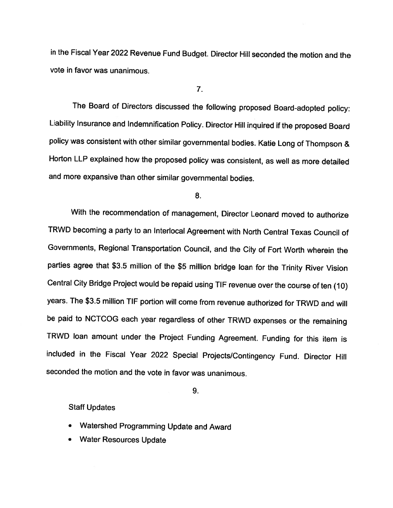in the Fiscal Year <sup>2022</sup> Revenue Fund Budget. Director Hill seconded the motion and the vote in favor was unanimous.

7.

The Board of Directors discussed the following proposed Board-adopted policy: Liability Insurance and Indemnification Policy. Director Hill inquired if the proposed Board policy was consistent with other similar governmental bodies. Katie Long of Thompson & Horton LLP explained how the proposed policy was consistent, as well as more detailed and more expansive than other similar governmental bodies.

8.

With the recommendation of management, Director Leonard moved to authorize TRWD becoming <sup>a</sup> party to an Interlocal Agreement with North Central Texas Council of Governments, Regional Transportation Council, and the City of Fort Worth wherein the parties agree that \$3.5 million of the \$5 million bridge loan for the Trinity River Vision Central City Bridge Project would be repaid using TIE revenue over the course of ten (10) years. The \$3.5 million TIF portion will come from revenue authorized for TRWD and will be paid to NCTCOG each year regardless of other TRWD expenses or the remaining TRWD loan amount under the Project Funding Agreement. Funding for this item is included in the Fiscal Year <sup>2022</sup> Special Projects/Contingency Fund. Director Hill seconded the motion and the vote in favor was unanimous.

9.

## Staff Updates

- Watershed Programming Update and Award
- . Water Resources Update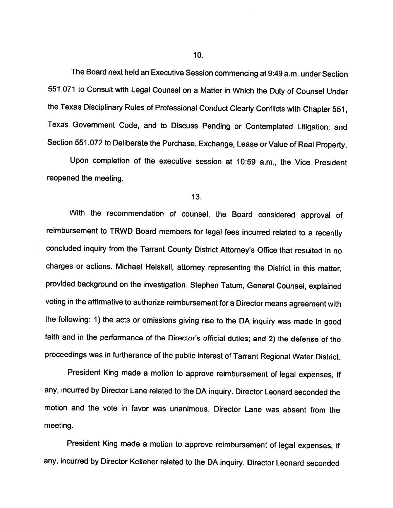The Board next held an Executive Session commencing at 9:49 a.m. under Section <sup>551</sup> .071 to Consult with Legal Counsel on <sup>a</sup> Matter in Which the Duty of Counsel Under the Texas Disciplinary Rules of Professional Conduct Clearly Conflicts with Chapter 551, Texas Government Code, and to Discuss Pending or Contemplated Litigation; and Section 551.072 to Deliberate the Purchase, Exchange, Lease or Value of Real Property.

Upon completion of the executive session at 10:59 a.m., the Vice President reopened the meeting.

## 13.

With the recommendation of counsel, the Board considered approval of reimbursement to TRWD Board members for legal fees incurred related to <sup>a</sup> recently concluded inquiry from the Tarrant County District Attorney's Office that resulted in no charges or actions. Michael Heiskell, attorney representing the District in this matter, provided background on the investigation. Stephen Tatum, General Counsel, explained voting in the affirmative to authorize reimbursement for <sup>a</sup> Director means agreement with the following: 1) the acts or omissions <sup>g</sup>iving rise to the DA inquiry was made in good faith and in the performance of the Director's official duties; and 2) the defense of the proceedings was in furtherance of the public interest of Tarrant Regional Water District.

President King made <sup>a</sup> motion to approve reimbursement of legal expenses, if any, incurred by Director Lane related to the DA inquiry. Director Leonard seconded the motion and the vote in favor was unanimous. Director Lane was absent from the meeting.

President King made <sup>a</sup> motion to approve reimbursement of legal expenses, if any, incurred by Director Kelleher related to the DA inquiry. Director Leonard seconded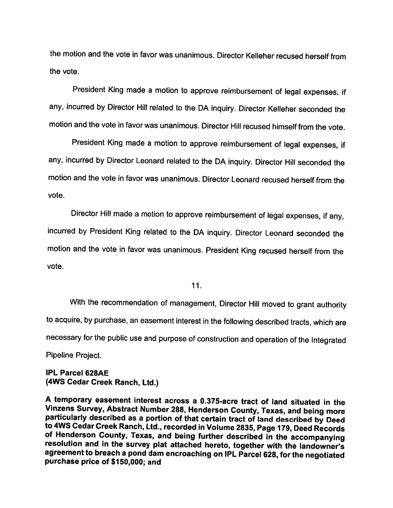the motion and the vote in favor was unanimous. Director Kelleher recused herself from the vote.

President King made <sup>a</sup> motion to approve reimbursement of legal expenses, if any, incurred by Director Hill related to the DA inquiry. Director Kelleher seconded the motion and the vote in favor was unanimous. Director Hill recused himself from the vote.

President King made <sup>a</sup> motion to approve reimbursement of legal expenses, if any, incurred by Director Leonard related to the DA inquiry. Director Hill seconded the motion and the vote in favor was unanimous. Director Leonard recused herself from the vote.

Director Hill made <sup>a</sup> motion to approve reimbursement of legal expenses, if any, incurred by President King related to the DA inquiry. Director Leonard seconded the motion and the vote in favor was unanimous. President King recused herself from the vote.

11.

With the recommendation of management, Director Hill moved to grant authority to acquire, by purchase, an easement interest in the following described tracts, which are necessary for the public use and purpose of construction and operation of the Integrated Pipeline Project.

IPL Parcel 628AE (4WS Cedar Creek Ranch, Ltd.)

<sup>A</sup> temporary easement interest across <sup>a</sup> 0.375-acre tract of land situated in the particularly described as a portion of that certain tract of land described by Deed<br>to 4WS Cedar Creek Ranch, Ltd., recorded in Volume 2835, Page 179, Deed Records<br>of Henderson County, Texas, and being further described in agreement to breach a pond dam encroaching on IPL Parcel 628, for the negotiated<br>purchase price of \$150,000; and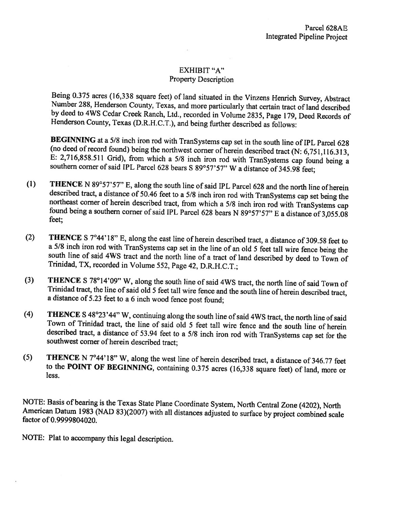# EXHIBIT "A" Property Description

Being 0.375 acres (16,338 square feet) of land situated in the Vinzens Henrich Survey, Abstract Number 288, Henderson County, Texas, and more particularly that certain tract of land described by deed to 4WS Cedar Creek Ran

**BEGINNING** at a 5/8 inch iron rod with TranSystems cap set in the south line of IPL Parcel 628 (no deed of record found) being the northwest corner of herein described tract (N: 6,751,116.313, E: 2,716,858.511 Grid), fro

- (1) **THENCE** N 89°57'57" E, along the south line of said IPL Parcel 628 and the north line of herein described tract, a distance of 50.46 feet to a 5/8 inch iron rod with TranSystems cap set being the northeast corner of
- (2) THENCE S  $7^{\circ}44'18''$  E, along the east line of herein described tract, a distance of 309.58 feet to a 5/8 inch iron rod with TranSystems cap set in the line of an old 5 feet tall wire fence being the south line of said 4WS tract and the north line of a tract of land described by deed to Town of Trinidad, TX, recorded in Volume 552, Page 42, D.R.H.C.T.:
- (3) THENCE <sup>S</sup> 78°14'09" W, along the south line of said 4WS tract, the north line of said Town of Trinidad tract, the line ofsaid old <sup>5</sup> feet tall wire fence and the south line of herein described tract, <sup>a</sup> distance of 5.23 feet to <sup>a</sup> <sup>6</sup> inch wood fence post found;
- (4) **THENCE** S  $48^{\circ}23'44''$  W, continuing along the south line of said 4WS tract, the north line of said Town of Trinidad tract, the line of said old 5 feet tall wire fence and the south line of herein described tract,
- (5) THENCE <sup>N</sup> 7°44'18" W, along the west line of herein described tract, <sup>a</sup> distance of 346.77 feet to the POINT OF BEGINNING, containing 0.3 <sup>75</sup> acres (16,338 square feet) of land, more or less.

NOTE: Basis of bearing is the Texas State Plane Coordinate System, North Central Zone (4202), North American Datum <sup>1983</sup> (NAD 83)(2007) with all distances adjusted to surface by project combined scale factor of 0.9999804020.

NOTE: Plat to accompany this legal description.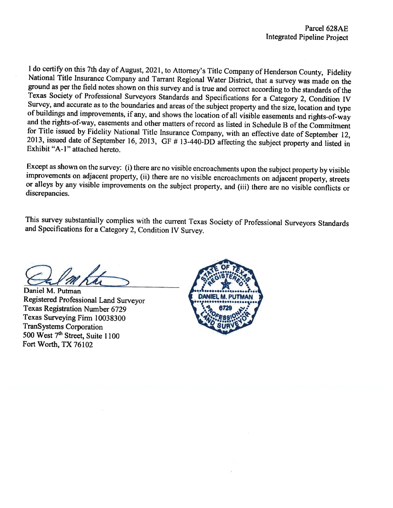I do certify on this 7th day of August, 2021, to Attorney's Title Company of Henderson County, Fidelity National Title Insurance Company and Tarrant Regional Water District, that a survey was made on the ground as per the

Except as shown on the survey: (i) there are no visible encroachments upon the subject property by visible improvements on adjacent property, (ii) there are no visible encroachments on adjacent property, streets or alleys

This survey substantially complies with the current Texas Society of Professional Surveyors Standards and Specifications for <sup>a</sup> Category 2, Condition IV Survey.

Daniel M. Putman Registered Professional Land Surveyor Texas Registration Number 6729 Texas Surveying Firm 10038300 TranSystems Corporation 500 West 7<sup>th</sup> Street, Suite 1100 Fort Worth, TX 76102

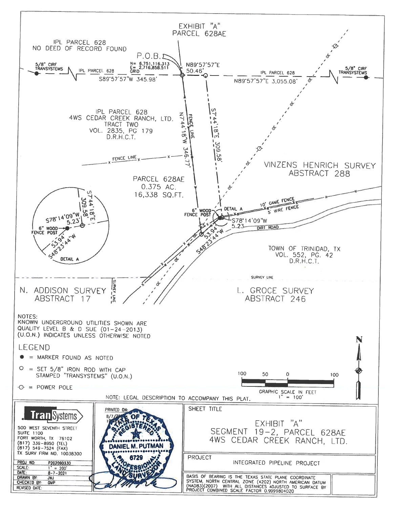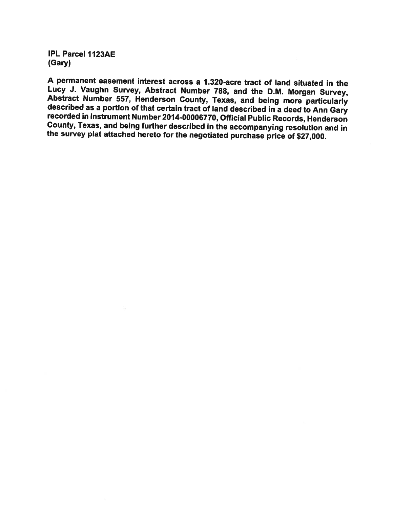IPL Parcel 1123AE (Gary)

<sup>A</sup> permanent easement interest across <sup>a</sup> 1.320-acre tract of land situated in the Abstract Number 557, Henderson County, Texas, and being more particularly described as a portion of that certain tract of land described in a deed to Ann Gary recorded in Instrument Number 2014-00006770, Official Public Re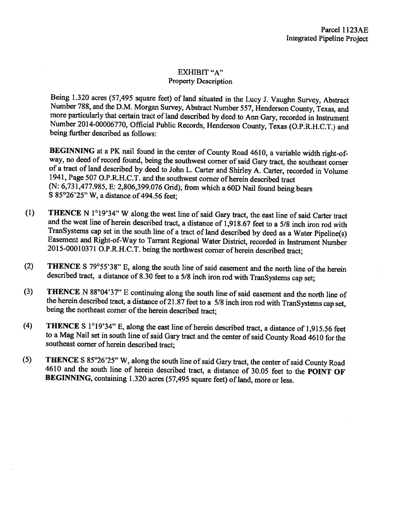# EXHIBIT "A" Property Description

Being 1.320 acres (57,495 square feet) of land situated in the Lucy J. Vaughn Survey, Abstract Number 788, and the D.M. Morgan Survey, Abstract Number 557, Henderson County, Texas, and more particularly that certain tract Number 2014-00006770, Official Public Records, Henderson County, Texas (O.P.R.H.C.T.) and being further described as follows:

BEGINNING at a PK nail found in the center of County Road 4610, a variable width right-of-<br>way, no deed of record found, being the southwest corner of said Gary tract, the southeast corner of a tract of land described by deed to John L. Carter and Shirley A. Carter, recorded in Volume 1941, Page 507 O.P.R.H.C.T. and the southwest corner of herein described tract (N: 6,731,477.985, E: 2,806,399.076 Grid), from which <sup>a</sup> 60D Nail found being bears <sup>S</sup> 85°26'25" W, <sup>a</sup> distance of 494.56 feet;

- (1) THENCE N  $1^{\circ}19'34''$  W along the west line of said Gary tract, the east line of said Carter tract and the west line of herein described tract, a distance of 1,918.67 feet to a 5/8 inch iron rod with TranSystems cap set in the south line of a tract of land described by deed as a Water Pipeline(s) Easement and Right-of-Way to Tarrant Regional Water District, recorded in Instrument Number 2015-00010371 O.P.R.H.C.T. being the northwest corner of herein described tract;
- (2) THENCE <sup>S</sup> 79°55'38" E, along the south line of said easement and the north line of the herein described tract, <sup>a</sup> distance of 8.30 feet to <sup>a</sup> 5/8 inch iron rod with TranSystems cap set;
- (3) THENCE N 88°04'37" E continuing along the south line of said easement and the north line of the herein described tract, a distance of 21.87 feet to a 5/8 inch iron rod with TranSystems cap set, being the northeast corner of the herein described tract;
- (4) THENCE <sup>S</sup> 1°19'34" E, along the east line of herein described tract, <sup>a</sup> distance of 1,915.56 feet to a Mag Nail set in south line of said Gary tract and the center of said County Road 4610 for the southeast corner of herein described tract;
- (5) THENCE S 85°26'25" W, along the south line of said Gary tract, the center of said County Road 4610 and the south line of herein described tract, a distance of 30.05 feet to the POINT OF BEGINNING, containing 1.320 acres (57,495 square feet) of land, more or less.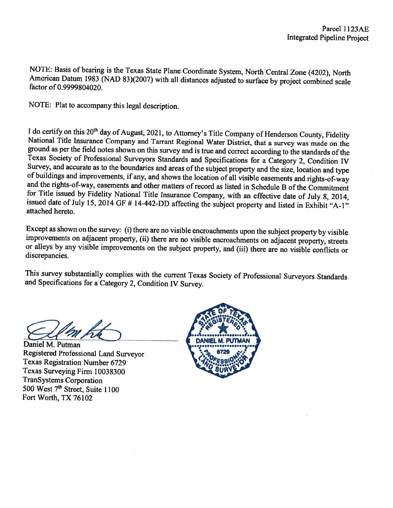NOTE: Basis of bearing is the Texas State Plane Coordinate System, North Central Zone (4202), North American Datum 1983 (NAD 83)(2007) with all distances adjusted to surface by project combined scale factor of 0.9999804020

NOTE: Plat to accompany this legal description.

I do certify on this  $20^{th}$  day of August, 2021, to Attorney's Title Company of Henderson County, Fidelity National Title Insurance Company and Tarrant Regional Water District, that a survey was made on the ground as per

Except as shown on the survey: (i) there are no visible encroachments upon the subject property by visible improvements on adjacent property, (ii) there are no visible encroachments on adjacent property, streets or alleys by any visible improvements on the subject property, and (iii) there are no visible conflicts or discrepancies.

This survey substantially complies with the current Texas Society of Professional Surveyors Standards and Specifications for <sup>a</sup> Category 2, Condition IV Survey.

Daniel M. Putman Registered Professional Land Surveyor Texas Registration Number 6729 Texas Surveying Firm 10038300 TranSystems Corporation 500 West 7<sup>th</sup> Street, Suite 1100 Fort Worth, TX 76102

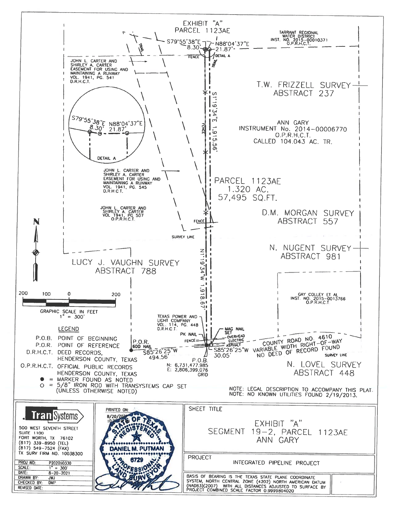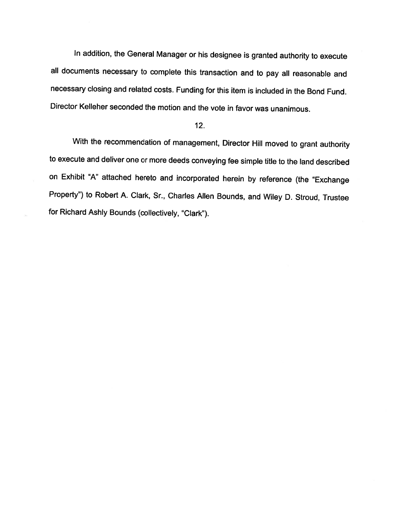In addition, the General Manager or his designee is granted authority to execute all documents necessary to complete this transaction and to pay all reasonable and necessary closing and related costs. Funding for this item is included in the Bond Fund. Director Kelleher seconded the motion and the vote in favor was unanimous.

## 12.

With the recommendation of management, Director Hill moved to grant authority to execute and deliver one or more deeds conveying fee simple title to the land described on Exhibit "A" attached hereto and incorporated herein by reference (the "Exchange Property") to Robert A. Clark, Sr., Charles Allen Bounds, and Wiley D. Stroud, Trustee for Richard Ashly Bounds (collectively, "Clark").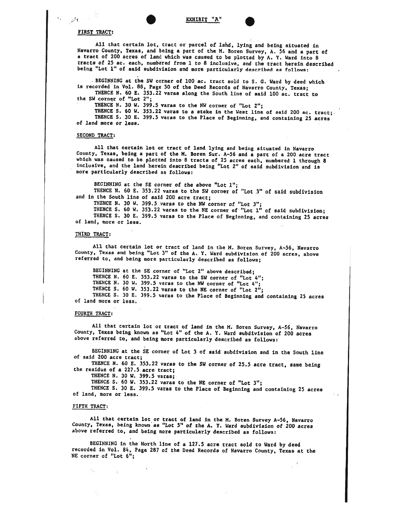## FIRST TRACT:

 $\mathcal{L}^{\text{max}}$  .

All that certain lot, tract or parcel of lahd, lying and being situated in Navarro County, Texas, and being a part of the M. Boren Survey, A. 56 and a part of <sup>a</sup> tract of <sup>200</sup> acres of land which was caused to be <sup>p</sup>lotted by A. Y. Ward into <sup>8</sup> tracts of <sup>25</sup> ac. each, numbered from <sup>I</sup> to <sup>8</sup> InclusIve, and the tract herein described being 'Lot 1" of said subdivision and more particularly described as follows:

. BEGINNING at the SW corner of 100 ac. tract sold to S. G. Ward by deed which is recorded in Vol. 88, Page 50 of the Deed Records of Navarro County, Texas;<br>THENCE N. 60 E. 353.22 varas along the South line of said 100 ac. the SW corner of "Lot 2";

ThENCE N. <sup>30</sup> W. 399.5 varas to the NW corner of "Lot 2";

.

THENCE S. 60 W. 353.22 varas to a stake in the West line of said 200 ac. tract; THENCE S. <sup>30</sup> E. 399.5 varas to the Place of Beginning, and containing <sup>25</sup> acres of land more or less.

#### SECOND TRACT:

All that certain lot or tract of land lying and being situated in Navarro<br>County, Texas, being a part of the M. Boren Sur. A-56 and a part of a 200 acre tract which was caused to be plotted into 8 tracts of 25 acres each, numbered 1 through 8 inclusive, and the land herein described being "Lot 2" of said subdivision and is more particularly described as follows:

BEGINNING at the SE corner of the above "Lot 1"; THENCE N. <sup>60</sup> E. 353.22 varas to the SW corner of "Lot 3" of said subdivision and in the South line of said <sup>200</sup> acre tract;

THENCE N. <sup>30</sup> W. 399.5 varas to the NW corner of "Lot 3";

THENCE S. <sup>60</sup> W, 353.22 varas to the NE corner of "Lot 1" of said subdivision; THENCE S. <sup>30</sup> E. 399.5 varas to the Place of Beginning, and containing <sup>25</sup> acres of land, more or less.

#### THIRD TRACT:

All that certain lot or tract of land in the M. Boren Survey, A-56, Navarro County, Texas and being "Lot 3" of the A. Y. Ward subdivision of 200 acres, above referred to, and being more particularly described as follows;

BEGINNING at the SE corner of "Lot 2" above described; THENCE N. <sup>60</sup> E. 353.22 varas to the SW corner of "Lot 4"; THENCE N. <sup>30</sup> W. 399.5 varas to the NW corner of "Lot 4"; THENCE S. 60 W. 353.22 varas to the NE corner of "Lot  $2^{11}$ : THENCE S. <sup>30</sup> E. 399.5 varas to the Place of Beginning and containing <sup>25</sup> acres of land more or less.

## FOURTH TRACT:

All that certain lot or tract of land in the H. Boren Survey, A-56, Navarro County, Texas being known as "Lot 4" of the A. Y. Ward subdivision of <sup>200</sup> acres above referred to, and being more particularly described as follows:

BEGINNING at the SE corner of Lot <sup>3</sup> of said subdivision and in the South line of said 200 acre tract;

THENCE N. <sup>60</sup> K. 353.22 varas to the SW corner of 25.5 acre tract, same being the residue of <sup>a</sup> 227.5 acre tract;

THENCE N. 30 W. 399.5 varas;

THENCE S. <sup>60</sup> W. 353.22 varas to the NE corner of "Lot 3";

THENCE S. <sup>30</sup> E. 399.5 varas to the Place of Beginning and containing <sup>25</sup> acres of land, more or less.

#### FIFTH TRACT:

All that certain lot or tract of land in the H. Boren Survey A—56, Navarro County, Texas, being known as "Lot 5" of the A. Y. Ward subdivision of <sup>200</sup> acres above referred to, and being more particularly described as follows:

BEGINNING in the North line of <sup>a</sup> 127.5 acre tract sold to Ward by deed recorded in Vol. 84, Page <sup>287</sup> of the Deed Records of Navarro County, Texas at the NE corner of "Lot 6";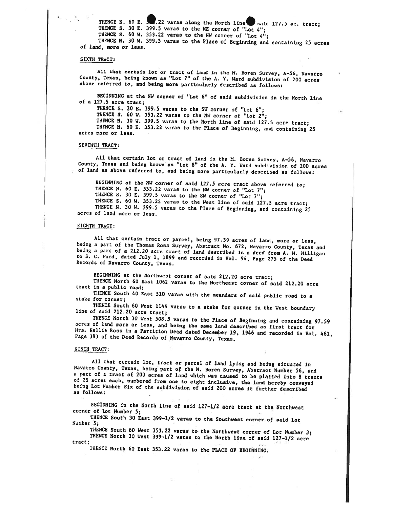THENCE N. 60 E. 399.5 varas along the North line said 127.5 ac. tract; THENCE S. 30 E. 399.5 varas to the NE corner of "Lot 4"; THENCE S. <sup>60</sup> W. 353.22 varas to the NW corner of 'Lot 4";

THENCE N. <sup>30</sup> W. 399.5 varas to the Place of Beginning and containing <sup>25</sup> acres of land, more or less.

### SIXTH TRACT:

All that certain lot or tract of land in the M. Boren Survey, A-56, Navarro County, Texas, being known as "Lot 7" of the A. Y. Ward subdivision of 200 acres above referred to, and being more particularly described as follo

BEGINNING at the NW corner of "Lot 6" of said subdivision in the North line of <sup>a</sup> 127.5 acre tract; THENCE S. <sup>30</sup> E. 399.5 varas to the SW corner of "Lot 6"; THENCE S. 60 W. 353.22 varas to the NW corner of "Lot  $2^{n}$ ;<br>THENCE N. 30 W. 399.5 varas to the North line of said 127.5 acre tract;

THENCE N. 60 E. 353.22 varas to the Place of Beginning, and containing 25 acres more or less.

### SEVENTH TRACT:

All that certain lot or tract of land in the M. Boren Survey, A-56, Navarro County, Texas and being known as "Lot 8" of the A. Y. Ward subdivision of 200 acres of land as above referred to, and being more particularly desc

BEGINNING at the NW corner of said 127.5 acre tract above referred to;<br>THENCE N. 60 E. 353.22 varas to the NW corner of "Lot 7";<br>THENCE S. 30 E. 399.5 varas to the SW corner of "Lot 7";<br>THENCE S. 60 W. 353.22 varas to the

#### EIGHTH TRACT:

All that certain tract or parcel, being 97.59 acres of land, more or less,<br>being a part of the Thomas Ross Survey, Abstract No. 672, Navarro County, Texas and<br>being a part of a 212.20 acre tract of land described in a deed

BEGINNING at the Northwest corner of said 212.20 acre tract;<br>THENCE North 60 East 1062 varas to the Northeast corner of said 212.20 acre<br>tract in a public road;

THENCE South 40 East 510 varas with the meanders of said public road to a stake for corner;

THENCE South 60 West 1144 varas to a stake for corner in the West boundary<br>line of said 212.20 acre tract;<br>THENCE North 30 West 508.5 varas to the Place of Beginning and containing 97.59

acres of land more or less, and being the same land described as first tract for<br>Mrs. Nellie Ross in a Partition Deed dated December 19, 1946 and recorded in Vol. 461,<br>Page 383 of the Deed Records of Navarro County. Texas.

#### NINTH TRACT:

All that certain lot, tract or parcel of land lying and being situated in<br>Navarro County, Texas, being part of the M. Boren Survey, Abstract Number 56, and<br>a part of a tract of 200 acres of land which was caused to be plat as follows:

BEGINNING in the North line of said  $127-1/2$  acre tract at the Northwest corner of Lot Number 5;

THENCE South <sup>30</sup> East 399—1/2 varas to the Southwest corner of said Lot Number 5;

THENCE South <sup>60</sup> West 353.22 varas to the Northwest corner of Lot Number 3; THENCE North <sup>30</sup> West 399—1/2 varas to the North line of said 127—1/2 acre tract;

THENCE North <sup>60</sup> East 353.22 varas to the PLACE OF BEGINNING.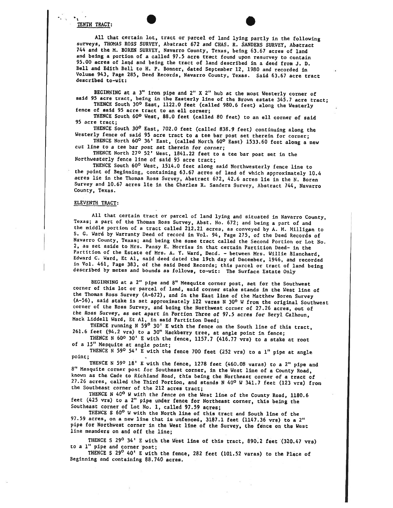### TENTH TRACT:

All that certain lot, tract or parcel of land lying partly in the following surveys, THOMAS ROSS SURVEY, Abstract <sup>672</sup> and CHAS. R. SANDERS SURVEY, Abstract <sup>744</sup> and the H. BOREN SURVEY, Navarro County, Texas, being 63.67 acres of land and being <sup>a</sup> portion of <sup>a</sup> called 97.5 acre tract found upon resurvey to contain 95.00 acres of land and being the tract of land described in a deed from J. D. Bell and Edith Bell to H. P. Bonner, dated September 12, <sup>1980</sup> and recorded in Volume 963, Page 285, Deed Records, Navarro County, Texas. Said 63.67 acre tract described to—wit:

BEGINNING at a 3" iron pipe and 2" X 2" hub at the most Westerly corner of said 95 acre tract, being in the Easterly line of the Brown estate 345.7 acre tract;<br>THENCE South 30° East, 1122.0 feet (called 980.6 feet) along t

THENCE South 60° West, 88.0 feet (called <sup>80</sup> feet) to an eli corner of said 95 acre tract;

THENCE South 30° East, 702.0 feet (called 838.9 feet) continuing along the Westerly fence of said <sup>95</sup> acre tract to <sup>a</sup> tee bar post set therein for corner;

THENCE North 60° 36' East, (called North 60° East) 1533.60 feet along a new cut line to <sup>a</sup> tee bar post set therein for corner;

THENCE North 27° 52' West, 1841.22 feet to <sup>a</sup> tee bar post set in the Northwesterly fence line of said <sup>95</sup> acre tract;

THENCE South 60° West, 1514.0 feet along said Northwesterly fence line to the point of Beginning, containing 63.67 acres of land of which approximately 10.4 acres lie in the Thomas Ross Survey, Abstract 672, 42.6 acres lie in the N. Boren Survey and 10.67 acres lie in the Charles R. Sanders Survey, Abstract 744, Navarro County, Texas.

#### ELEVENTH TRACT:

All that certain tract or parcel of land lying and situated in Navarro County, Texas; a part of the Thomas Ross Survey, Abst. No. 672; and being a part of and the middle portion of a tract called 212.21 acres, as conveyed Navarro County, Texas; and being the same tract called the Second Portion or Lot No. 2, as set aside to Mrs. Pansy E. Morriss in that certain Partition Deed- in the<br>Partition of the Estate of Mrs. A. Y. Ward, Decd. - between Mrs. Willie Blanchard, Edward C. Ward, Et Al, said deed dated the 19th day of December, 1946, and recorded in Vol. 461, Page 383, of the said Deed Records; this parcel or tract of land being described by metes and bounds as follows, to-wit: The

BEGINNING at <sup>a</sup> 2' <sup>p</sup>ipe and 8" Mesquite corner post, set for the Southwest corner of this lot or parcel of land, said corner stake stands in the West line of the Thomas Ross Survey (A-672), and in the East line of the Matthew Boren Survey  $(A-56)$ , said stake is set approximately 122 varas N 30° W from the original Southwest corner of the Ross Survey, and being the Northwest corner of 27.26 acres, out of the Ross Survey, as set apart in Portion Three of 97.5 acres for Beryl Calhoun, Mack Liddell Ward, Et Al, in said Partition Deed;

THENCE running N 59<sup>0</sup> 30' E with the fence on the South line of this tract, 261.6 feet (94.2 vrs) to a 30" Hackberry tree, at angle point in fence;

THENCE <sup>N</sup> 60° 30' <sup>E</sup> with the fence, 1157.7 (416.77 vrs) to <sup>a</sup> stake at root of <sup>a</sup> 15" Mesquite at angle point;

THENCE <sup>N</sup> <sup>590</sup> 54' <sup>E</sup> with the fence <sup>700</sup> feet (252 vrs) to <sup>a</sup> 1" <sup>p</sup>ipe at angle point;

THENCE N 59º 18' E with the fence, 1278 feet (460.08 varas) to a 2" pipe and 8" Mesquite corner post for Southeast corner, in the West line of a County Road, known as the Cade to Richland Road, this being the Northeast cor 27.26 acres, called the Third Portion, and stands N 40° W 341.7 feet (123 vrs) from<br>the Southeast corner of the 212 acres tract;

THENCE <sup>N</sup> 40° <sup>W</sup> with the fence on the West line of the County Road, 1180.6 feet (425 vrs) to <sup>a</sup> 2' <sup>p</sup>ipe under fence for Northeast corner, this being the Southeast corner of Lot No. 1, called 97.59 acres;

THENCE S 60° <sup>W</sup> with the North line of this tract and South line of the 97.59 acres, on <sup>a</sup> new line that is unfenced, 3187.1 feet (1147.36 vrs) to <sup>a</sup> 2" <sup>p</sup>ipe for Northwest corner in the West line of the Survey, the fence on the West line meanders on and off the line;

THENCE S 29<sup>0</sup> 34' E with the West line of this tract, 890.2 feet (320.47 vrs) to <sup>a</sup> 1" <sup>p</sup>ipe and corner post;

THENCE S 29<sup>0</sup> 40' E with the fence, 282 feet (101.52 varas) to the Place of Beginning and containing 88.740 acres.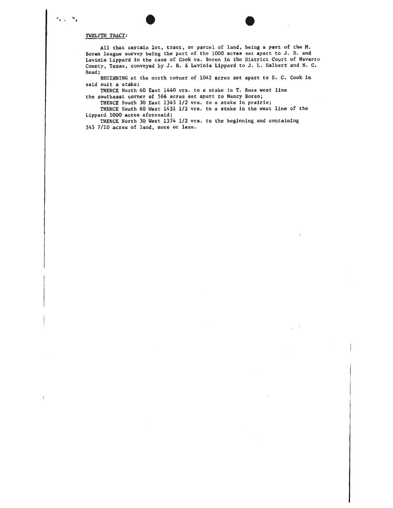#### TWELFTH TRACT:

 $\mathcal{L}(\mathbb{F}_q) \to \mathcal{L}$ 

All that certain lot, tract, or parcel of land, being a part of the M. Boren league survey being the par<sup>t</sup> of the <sup>1000</sup> acres set apar<sup>t</sup> to 3. H. and Levinia Lippard in the case of Cook vs. Boren in the District Court of Navarro County, Texas, conveye<sup>d</sup> by 3. H. & Levinia Lippard to J. L. Halbert and N. C. Read;

. .

BEGINNING at the north corner of 1042 acres set apar<sup>t</sup> to S. C. Cook in said suit <sup>a</sup> stake;

THENCE North 60 East 1440 vrs, to <sup>a</sup> stake in T. Ross West line the southeast corner of 566 acres set apart to Nancy Boren;

THENCE South 30 East 1345 1/2 vrs. to <sup>a</sup> stake in prairie;

THENCE South 60 West 1431 1/2 vrs. to <sup>a</sup> stake in the west line of the Lippard 1000 acres aforesaid;

THENCE North 30 West 1374 1/2 vrs. to the beginning and containing 345 7/10 acres of land, more or less.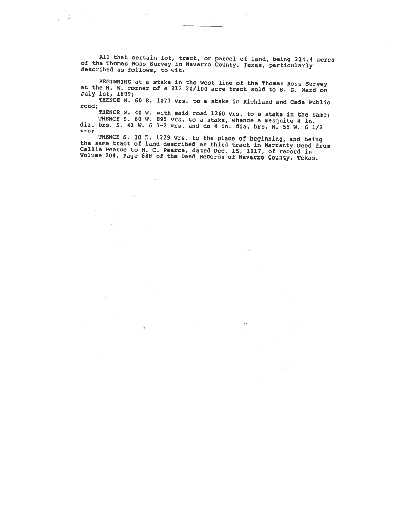All that certain lot, tract, or parcel of land, being 214.4 acres of the Thomas Ross Survey in Navarro County, Texas, particularly described as follows, to wit:

 $\mathcal{C}^{\mathcal{C}}$ 

 $\tilde{\mathbf{x}}$ 

BEGINNING at a stake in the West line of the Thomas Ross Survey at the N. W. corner of a 212 20/100 acre tract sold to S. G. Ward on July 1st, 1899;.

THENCE N. 60 E. 1073 vrs. to a stake in Richland and Cade Public road;<br>THENCE N. 40 W. with said road 1260 vrs. to a stake in the same;

THENCE S. 60 W. 895 vrs. to a stake, whence a mesquite 4 in.<br>dia. brs. S. 41 W. 6 1-2 vrs. and do 4 in. dia. brs. N. 55 W. 6 1/2 vrs;

THENCE S. 30 E. 1229 vrs. to the place of beginning, and being<br>the same tract of land described as third tract in Warranty Deed from<br>Callie Pearce to W. C. Pearce, dated Dec. 15, 1917, of record in<br>Volume 204, Page 688 of

 $\overline{\phantom{a}}$ 

 $\mathcal{L}_{\mathbf{A}}$ 

a e

 $(4.1)$